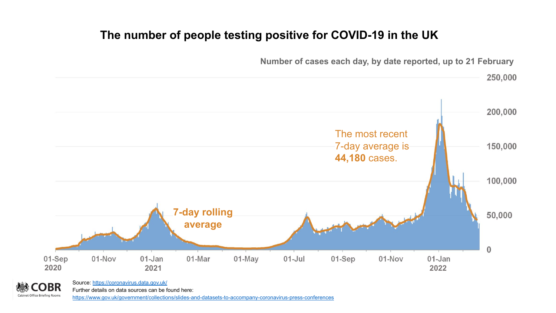## **The number of people testing positive for COVID-19 in the UK**



**Number of cases each day, by date reported, up to 21 February**

BR **Cabinet Office Briefing Rooms** 

Further details on data sources can be found here:

<https://www.gov.uk/government/collections/slides-and-datasets-to-accompany-coronavirus-press-conferences>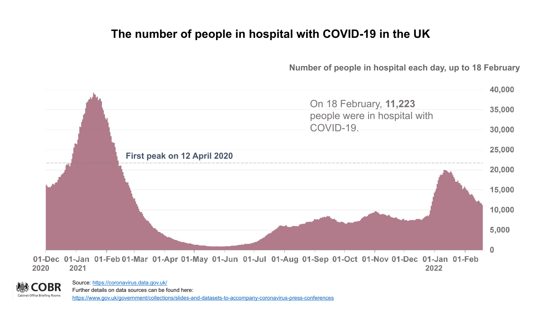### **The number of people in hospital with COVID-19 in the UK**

**Number of people in hospital each day, up to 18 February**





Source: <https://coronavirus.data.gov.uk/> Further details on data sources can be found here: <https://www.gov.uk/government/collections/slides-and-datasets-to-accompany-coronavirus-press-conferences>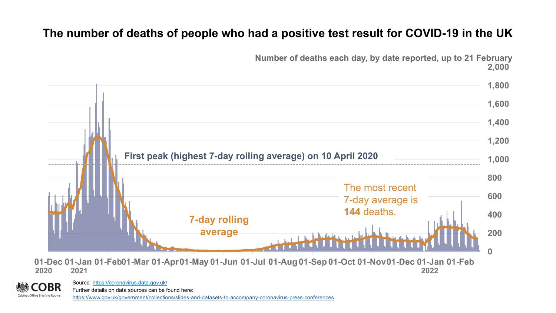## **The number of deaths of people who had a positive test result for COVID-19 in the UK**



Source: <https://coronavirus.data.gov.uk/>

Further details on data sources can be found here:

**Cabinet Office Briefing Rooms** 

<https://www.gov.uk/government/collections/slides-and-datasets-to-accompany-coronavirus-press-conferences>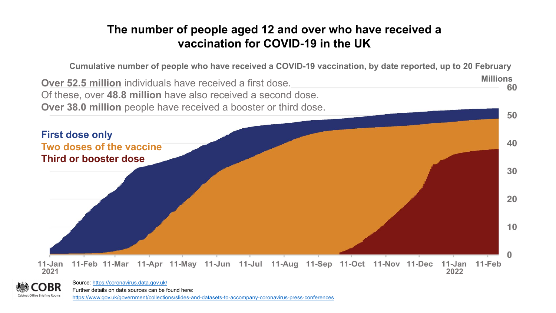## **The number of people aged 12 and over who have received a vaccination for COVID-19 in the UK**

**Cumulative number of people who have received a COVID-19 vaccination, by date reported, up to 20 February**

**Millions Over 52.5 million** individuals have received a first dose. Of these, over **48.8 million** have also received a second dose. **Over 38.0 million** people have received a booster or third dose. 50





Further details on data sources can be found here: <https://www.gov.uk/government/collections/slides-and-datasets-to-accompany-coronavirus-press-conferences>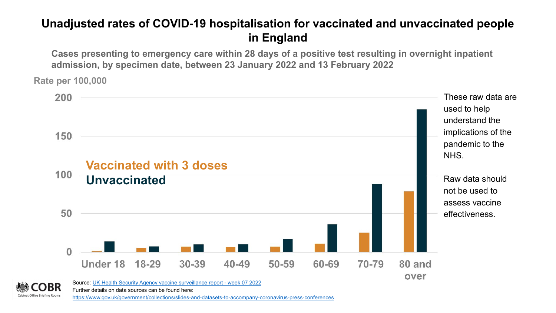## **Unadjusted rates of COVID-19 hospitalisation for vaccinated and unvaccinated people in England**

**Cases presenting to emergency care within 28 days of a positive test resulting in overnight inpatient admission, by specimen date, between 23 January 2022 and 13 February 2022**

**Rate per 100,000**



<https://www.gov.uk/government/collections/slides-and-datasets-to-accompany-coronavirus-press-conferences>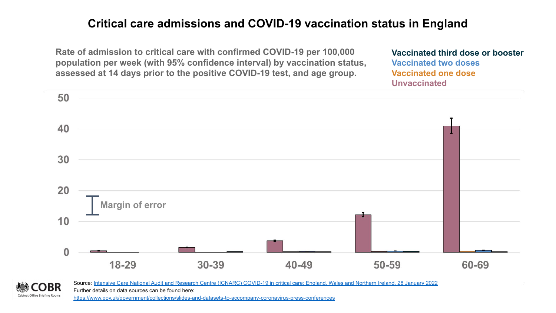### **Critical care admissions and COVID-19 vaccination status in England**

**Rate of admission to critical care with confirmed COVID-19 per 100,000 population per week (with 95% confidence interval) by vaccination status, assessed at 14 days prior to the positive COVID-19 test, and age group.** 

**Vaccinated third dose or booster Vaccinated two doses Vaccinated one dose Unvaccinated**



**Cabinet Office Briefing Rooms** 

Source: [Intensive Care National Audit and Research Centre \(ICNARC\) COVID-19 in critical care: England, Wales and Northern Ireland, 28 January 2022](https://www.icnarc.org/DataServices/Attachments/Download/3201997d-6980-ec11-913b-00505601089b) Further details on data sources can be found here: <https://www.gov.uk/government/collections/slides-and-datasets-to-accompany-coronavirus-press-conferences>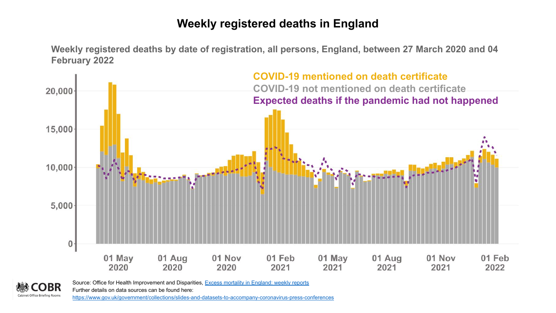### **Weekly registered deaths in England**

**Weekly registered deaths by date of registration, all persons, England, between 27 March 2020 and 04 February 2022**



Source: Office for Health Improvement and Disparities, [Excess mortality in England: weekly reports](https://www.gov.uk/government/statistics/excess-mortality-in-england-weekly-reports) BR

Further details on data sources can be found here:

**Cabinet Office Briefing Rooms** <https://www.gov.uk/government/collections/slides-and-datasets-to-accompany-coronavirus-press-conferences>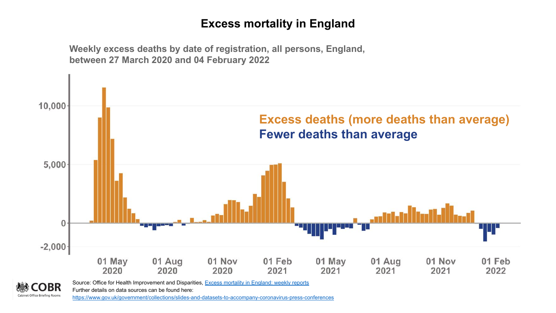### **Excess mortality in England**



**Weekly excess deaths by date of registration, all persons, England,** 

**Cabinet Office Briefing Rooms** <https://www.gov.uk/government/collections/slides-and-datasets-to-accompany-coronavirus-press-conferences>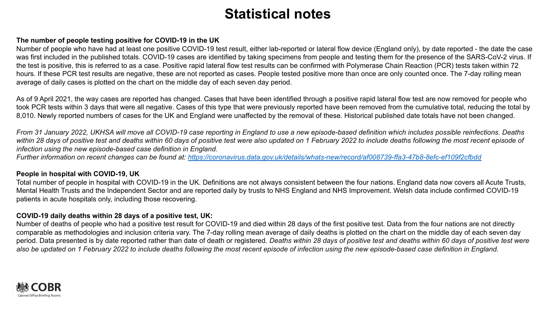### **The number of people testing positive for COVID-19 in the UK**

Number of people who have had at least one positive COVID-19 test result, either lab-reported or lateral flow device (England only), by date reported - the date the case was first included in the published totals. COVID-19 cases are identified by taking specimens from people and testing them for the presence of the SARS-CoV-2 virus. If the test is positive, this is referred to as a case. Positive rapid lateral flow test results can be confirmed with Polymerase Chain Reaction (PCR) tests taken within 72 hours. If these PCR test results are negative, these are not reported as cases. People tested positive more than once are only counted once. The 7-day rolling mean average of daily cases is plotted on the chart on the middle day of each seven day period.

As of 9 April 2021, the way cases are reported has changed. Cases that have been identified through a positive rapid lateral flow test are now removed for people who took PCR tests within 3 days that were all negative. Cases of this type that were previously reported have been removed from the cumulative total, reducing the total by 8,010. Newly reported numbers of cases for the UK and England were unaffected by the removal of these. Historical published date totals have not been changed.

*From 31 January 2022, UKHSA will move all COVID-19 case reporting in England to use a new episode-based definition which includes possible reinfections. Deaths within 28 days of positive test and deaths within 60 days of positive test were also updated on 1 February 2022 to include deaths following the most recent episode of infection using the new episode-based case definition in England.*

*Further information on recent changes can be found at:<https://coronavirus.data.gov.uk/details/whats-new/record/af008739-ffa3-47b8-8efc-ef109f2cfbdd>*

#### **People in hospital with COVID-19, UK**

Total number of people in hospital with COVID-19 in the UK. Definitions are not always consistent between the four nations. England data now covers all Acute Trusts, Mental Health Trusts and the Independent Sector and are reported daily by trusts to NHS England and NHS Improvement. Welsh data include confirmed COVID-19 patients in acute hospitals only, including those recovering.

### **COVID-19 daily deaths within 28 days of a positive test, UK:**

Number of deaths of people who had a positive test result for COVID-19 and died within 28 days of the first positive test. Data from the four nations are not directly comparable as methodologies and inclusion criteria vary. The 7-day rolling mean average of daily deaths is plotted on the chart on the middle day of each seven day period. Data presented is by date reported rather than date of death or registered. *Deaths within 28 days of positive test and deaths within 60 days of positive test were also be updated on 1 February 2022 to include deaths following the most recent episode of infection using the new episode-based case definition in England.*

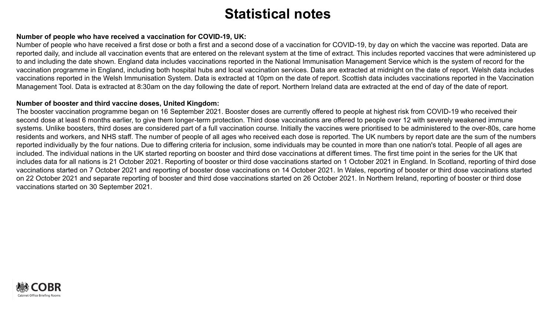#### **Number of people who have received a vaccination for COVID-19, UK:**

Number of people who have received a first dose or both a first and a second dose of a vaccination for COVID-19, by day on which the vaccine was reported. Data are reported daily, and include all vaccination events that are entered on the relevant system at the time of extract. This includes reported vaccines that were administered up to and including the date shown. England data includes vaccinations reported in the National Immunisation Management Service which is the system of record for the vaccination programme in England, including both hospital hubs and local vaccination services. Data are extracted at midnight on the date of report. Welsh data includes vaccinations reported in the Welsh Immunisation System. Data is extracted at 10pm on the date of report. Scottish data includes vaccinations reported in the Vaccination Management Tool. Data is extracted at 8:30am on the day following the date of report. Northern Ireland data are extracted at the end of day of the date of report.

#### **Number of booster and third vaccine doses, United Kingdom:**

The booster vaccination programme began on 16 September 2021. Booster doses are currently offered to people at highest risk from COVID-19 who received their second dose at least 6 months earlier, to give them longer-term protection. Third dose vaccinations are offered to people over 12 with severely weakened immune systems. Unlike boosters, third doses are considered part of a full vaccination course. Initially the vaccines were prioritised to be administered to the over-80s, care home residents and workers, and NHS staff. The number of people of all ages who received each dose is reported. The UK numbers by report date are the sum of the numbers reported individually by the four nations. Due to differing criteria for inclusion, some individuals may be counted in more than one nation's total. People of all ages are included. The individual nations in the UK started reporting on booster and third dose vaccinations at different times. The first time point in the series for the UK that includes data for all nations is 21 October 2021. Reporting of booster or third dose vaccinations started on 1 October 2021 in England. In Scotland, reporting of third dose vaccinations started on 7 October 2021 and reporting of booster dose vaccinations on 14 October 2021. In Wales, reporting of booster or third dose vaccinations started on 22 October 2021 and separate reporting of booster and third dose vaccinations started on 26 October 2021. In Northern Ireland, reporting of booster or third dose vaccinations started on 30 September 2021.

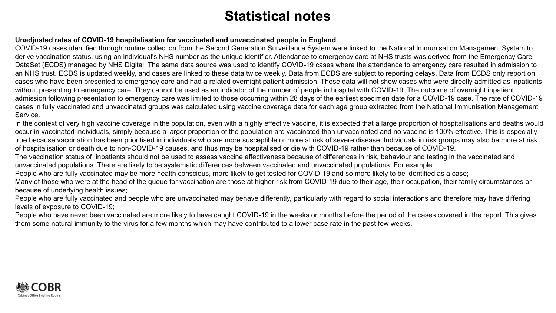### **Unadjusted rates of COVID-19 hospitalisation for vaccinated and unvaccinated people in England**

COVID-19 cases identified through routine collection from the Second Generation Surveillance System were linked to the National Immunisation Management System to derive vaccination status, using an individual's NHS number as the unique identifier. Attendance to emergency care at NHS trusts was derived from the Emergency Care DataSet (ECDS) managed by NHS Digital. The same data source was used to identify COVID-19 cases where the attendance to emergency care resulted in admission to an NHS trust. ECDS is updated weekly, and cases are linked to these data twice weekly. Data from ECDS are subject to reporting delays. Data from ECDS only report on cases who have been presented to emergency care and had a related overnight patient admission. These data will not show cases who were directly admitted as inpatients without presenting to emergency care. They cannot be used as an indicator of the number of people in hospital with COVID-19. The outcome of overnight inpatient admission following presentation to emergency care was limited to those occurring within 28 days of the earliest specimen date for a COVID-19 case. The rate of COVID-19 cases in fully vaccinated and unvaccinated groups was calculated using vaccine coverage data for each age group extracted from the National Immunisation Management Service.

In the context of very high vaccine coverage in the population, even with a highly effective vaccine, it is expected that a large proportion of hospitalisations and deaths would occur in vaccinated individuals, simply because a larger proportion of the population are vaccinated than unvaccinated and no vaccine is 100% effective. This is especially true because vaccination has been prioritised in individuals who are more susceptible or more at risk of severe disease. Individuals in risk groups may also be more at risk of hospitalisation or death due to non-COVID-19 causes, and thus may be hospitalised or die with COVID-19 rather than because of COVID-19.

The vaccination status of inpatients should not be used to assess vaccine effectiveness because of differences in risk, behaviour and testing in the vaccinated and unvaccinated populations. There are likely to be systematic differences between vaccinated and unvaccinated populations. For example:

People who are fully vaccinated may be more health conscious, more likely to get tested for COVID-19 and so more likely to be identified as a case;

Many of those who were at the head of the queue for vaccination are those at higher risk from COVID-19 due to their age, their occupation, their family circumstances or because of underlying health issues;

People who are fully vaccinated and people who are unvaccinated may behave differently, particularly with regard to social interactions and therefore may have differing levels of exposure to COVID-19;

People who have never been vaccinated are more likely to have caught COVID-19 in the weeks or months before the period of the cases covered in the report. This gives them some natural immunity to the virus for a few months which may have contributed to a lower case rate in the past few weeks.

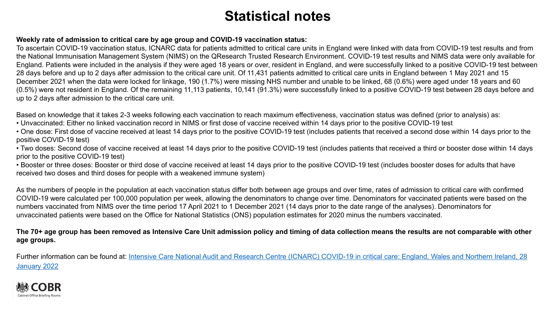### **Weekly rate of admission to critical care by age group and COVID-19 vaccination status:**

To ascertain COVID-19 vaccination status, ICNARC data for patients admitted to critical care units in England were linked with data from COVID-19 test results and from the National Immunisation Management System (NIMS) on the QResearch Trusted Research Environment. COVID-19 test results and NIMS data were only available for England. Patients were included in the analysis if they were aged 18 years or over, resident in England, and were successfully linked to a positive COVID-19 test between 28 days before and up to 2 days after admission to the critical care unit. Of 11,431 patients admitted to critical care units in England between 1 May 2021 and 15 December 2021 when the data were locked for linkage, 190 (1.7%) were missing NHS number and unable to be linked, 68 (0.6%) were aged under 18 years and 60 (0.5%) were not resident in England. Of the remaining 11,113 patients, 10,141 (91.3%) were successfully linked to a positive COVID-19 test between 28 days before and up to 2 days after admission to the critical care unit.

Based on knowledge that it takes 2-3 weeks following each vaccination to reach maximum effectiveness, vaccination status was defined (prior to analysis) as:

- Unvaccinated: Either no linked vaccination record in NIMS or first dose of vaccine received within 14 days prior to the positive COVID-19 test
- One dose: First dose of vaccine received at least 14 days prior to the positive COVID-19 test (includes patients that received a second dose within 14 days prior to the positive COVID-19 test)

• Two doses: Second dose of vaccine received at least 14 days prior to the positive COVID-19 test (includes patients that received a third or booster dose within 14 days prior to the positive COVID-19 test)

• Booster or three doses: Booster or third dose of vaccine received at least 14 days prior to the positive COVID-19 test (includes booster doses for adults that have received two doses and third doses for people with a weakened immune system)

As the numbers of people in the population at each vaccination status differ both between age groups and over time, rates of admission to critical care with confirmed COVID-19 were calculated per 100,000 population per week, allowing the denominators to change over time. Denominators for vaccinated patients were based on the numbers vaccinated from NIMS over the time period 17 April 2021 to 1 December 2021 (14 days prior to the date range of the analyses). Denominators for unvaccinated patients were based on the Office for National Statistics (ONS) population estimates for 2020 minus the numbers vaccinated.

### **The 70+ age group has been removed as Intensive Care Unit admission policy and timing of data collection means the results are not comparable with other age groups.**

Further information can be found at: [Intensive Care National Audit and Research Centre \(ICNARC\) COVID-19 in critical care: England, Wales and Northern Ireland, 28](https://www.icnarc.org/DataServices/Attachments/Download/3201997d-6980-ec11-913b-00505601089b) [January 2022](https://www.icnarc.org/DataServices/Attachments/Download/3201997d-6980-ec11-913b-00505601089b)